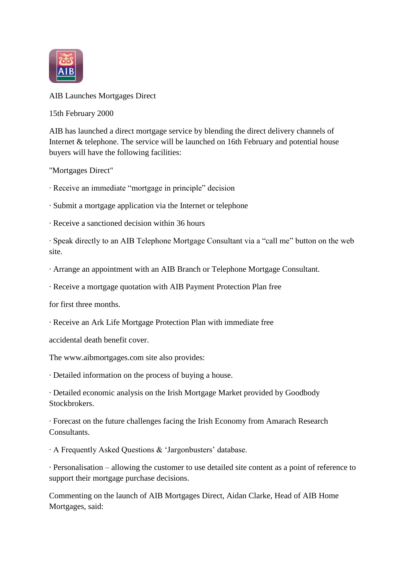

AIB Launches Mortgages Direct

15th February 2000

AIB has launched a direct mortgage service by blending the direct delivery channels of Internet & telephone. The service will be launched on 16th February and potential house buyers will have the following facilities:

"Mortgages Direct"

· Receive an immediate "mortgage in principle" decision

· Submit a mortgage application via the Internet or telephone

· Receive a sanctioned decision within 36 hours

· Speak directly to an AIB Telephone Mortgage Consultant via a "call me" button on the web site.

· Arrange an appointment with an AIB Branch or Telephone Mortgage Consultant.

· Receive a mortgage quotation with AIB Payment Protection Plan free

for first three months.

· Receive an Ark Life Mortgage Protection Plan with immediate free

accidental death benefit cover.

The www.aibmortgages.com site also provides:

· Detailed information on the process of buying a house.

· Detailed economic analysis on the Irish Mortgage Market provided by Goodbody Stockbrokers.

· Forecast on the future challenges facing the Irish Economy from Amarach Research Consultants.

· A Frequently Asked Questions & 'Jargonbusters' database.

· Personalisation – allowing the customer to use detailed site content as a point of reference to support their mortgage purchase decisions.

Commenting on the launch of AIB Mortgages Direct, Aidan Clarke, Head of AIB Home Mortgages, said: